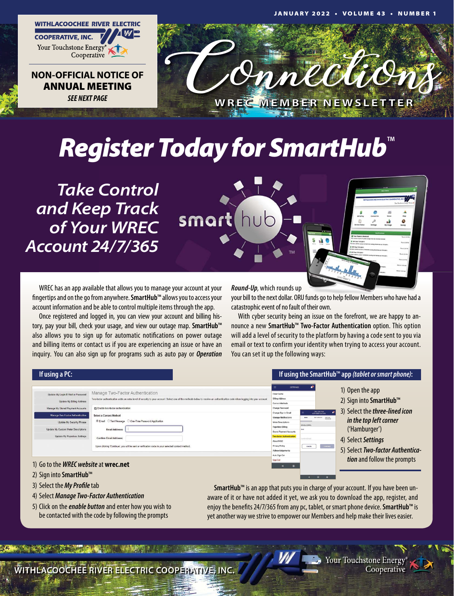

ANNUAL MEETING *SEE NEXT PAGE*



# *Register Today for SmartHub™*

smart hub

*Take Control and Keep Track of Your WREC Account 24/7/365*

WREC has an app available that allows you to manage your account at your fingertips and on the go from anywhere. **SmartHub**™ allows you to access your account information and be able to control multiple items through the app.

Once registered and logged in, you can view your account and billing history, pay your bill, check your usage, and view our outage map. **SmartHub**™ also allows you to sign up for automatic notifications on power outage and billing items or contact us if you are experiencing an issue or have an inquiry. You can also sign up for programs such as auto pay or *Operation*

*Round-Up*, which rounds up

your bill to the next dollar. ORU funds go to help fellow Members who have had a catastrophic event of no fault of their own.

With cyber security being an issue on the forefront, we are happy to announce a new **SmartHub**™ **Two-Factor Authentication** option. This option will add a level of security to the platform by having a code sent to you via email or text to confirm your identity when trying to access your account. You can set it up the following ways:

#### **If using a PC: If using the SmartHub**™ **app** *(tablet or smart phone)***:** 1) Open the app Manage Two-Factor Authenticatio 2) Sign into **SmartHub**™ 3) Select the *three-lined icon in the top left corner* ('Hamburger') 4) Select *Settings* 5) Select *Two-factor Authentication* and follow the prompts

- 1) Go to the *WREC website* at **wrec.net**
- 2) Sign into **SmartHub**™
- 3) Select the *My Profile* tab
- 4) Select *Manage Two-Factor Authentication*
- 5) Click on the *enable button* and enter how you wish to be contacted with the code by following the prompts

**SmartHub**™ is an app that puts you in charge of your account. If you have been unaware of it or have not added it yet, we ask you to download the app, register, and enjoy the benefits 24/7/365 from any pc, tablet, or smart phone device. **SmartHub**™ is yet another way we strive to empower our Members and help make their lives easier.

WITHLACOOCHEE RIVER ELECTRIC COOPERATIVE, INC.